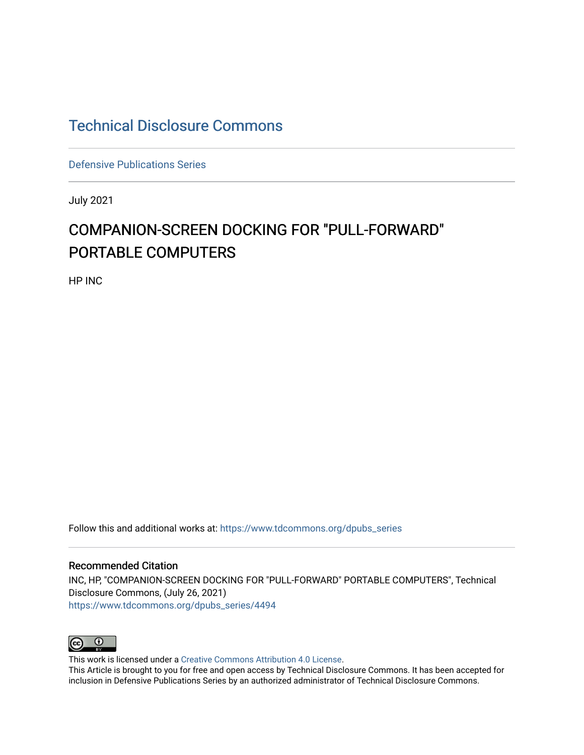## [Technical Disclosure Commons](https://www.tdcommons.org/)

[Defensive Publications Series](https://www.tdcommons.org/dpubs_series)

July 2021

# COMPANION-SCREEN DOCKING FOR "PULL-FORWARD" PORTABLE COMPUTERS

HP INC

Follow this and additional works at: [https://www.tdcommons.org/dpubs\\_series](https://www.tdcommons.org/dpubs_series?utm_source=www.tdcommons.org%2Fdpubs_series%2F4494&utm_medium=PDF&utm_campaign=PDFCoverPages) 

#### Recommended Citation

INC, HP, "COMPANION-SCREEN DOCKING FOR "PULL-FORWARD" PORTABLE COMPUTERS", Technical Disclosure Commons, (July 26, 2021) [https://www.tdcommons.org/dpubs\\_series/4494](https://www.tdcommons.org/dpubs_series/4494?utm_source=www.tdcommons.org%2Fdpubs_series%2F4494&utm_medium=PDF&utm_campaign=PDFCoverPages)



This work is licensed under a [Creative Commons Attribution 4.0 License](http://creativecommons.org/licenses/by/4.0/deed.en_US).

This Article is brought to you for free and open access by Technical Disclosure Commons. It has been accepted for inclusion in Defensive Publications Series by an authorized administrator of Technical Disclosure Commons.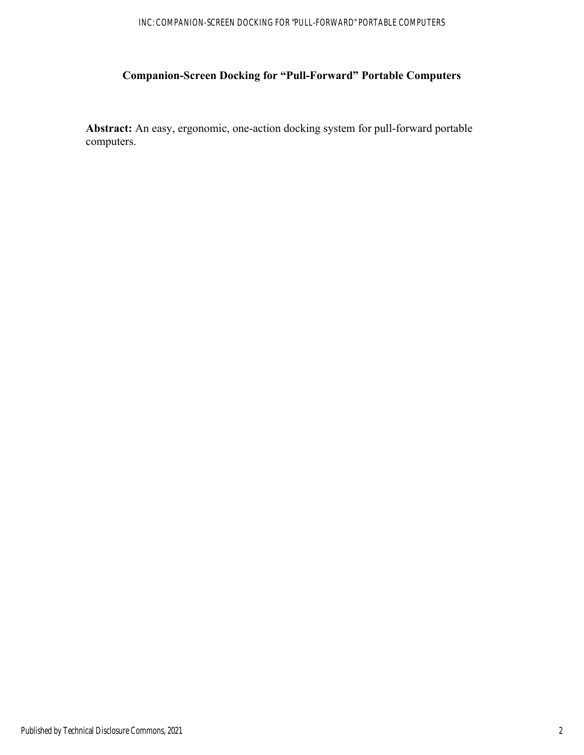### INC: COMPANION-SCREEN DOCKING FOR "PULL-FORWARD" PORTABLE COMPUTERS

## **Companion-Screen Docking for "Pull-Forward" Portable Computers**

**Abstract:** An easy, ergonomic, one-action docking system for pull-forward portable computers.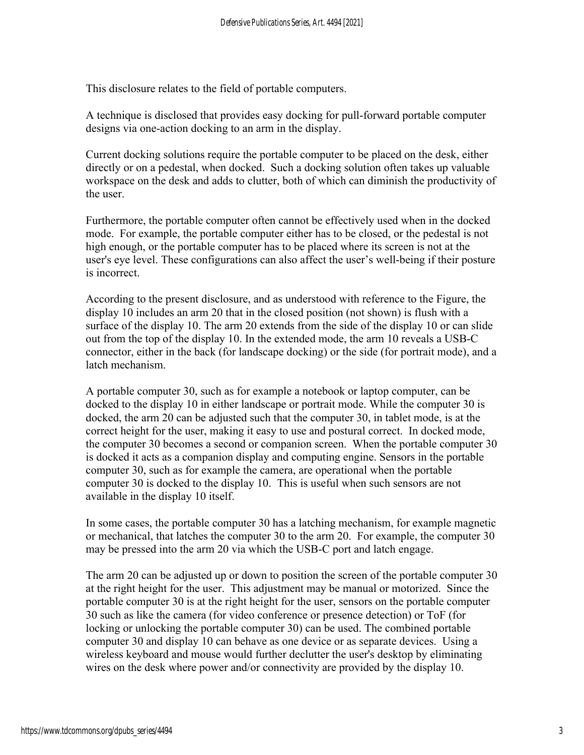This disclosure relates to the field of portable computers.

A technique is disclosed that provides easy docking for pull-forward portable computer designs via one-action docking to an arm in the display.

Current docking solutions require the portable computer to be placed on the desk, either directly or on a pedestal, when docked. Such a docking solution often takes up valuable workspace on the desk and adds to clutter, both of which can diminish the productivity of the user.

Furthermore, the portable computer often cannot be effectively used when in the docked mode. For example, the portable computer either has to be closed, or the pedestal is not high enough, or the portable computer has to be placed where its screen is not at the user's eye level. These configurations can also affect the user's well-being if their posture is incorrect.

According to the present disclosure, and as understood with reference to the Figure, the display 10 includes an arm 20 that in the closed position (not shown) is flush with a surface of the display 10. The arm 20 extends from the side of the display 10 or can slide out from the top of the display 10. In the extended mode, the arm 10 reveals a USB-C connector, either in the back (for landscape docking) or the side (for portrait mode), and a latch mechanism.

A portable computer 30, such as for example a notebook or laptop computer, can be docked to the display 10 in either landscape or portrait mode. While the computer 30 is docked, the arm 20 can be adjusted such that the computer 30, in tablet mode, is at the correct height for the user, making it easy to use and postural correct. In docked mode, the computer 30 becomes a second or companion screen. When the portable computer 30 is docked it acts as a companion display and computing engine. Sensors in the portable computer 30, such as for example the camera, are operational when the portable computer 30 is docked to the display 10. This is useful when such sensors are not available in the display 10 itself.

In some cases, the portable computer 30 has a latching mechanism, for example magnetic or mechanical, that latches the computer 30 to the arm 20. For example, the computer 30 may be pressed into the arm 20 via which the USB-C port and latch engage.

The arm 20 can be adjusted up or down to position the screen of the portable computer 30 at the right height for the user. This adjustment may be manual or motorized. Since the portable computer 30 is at the right height for the user, sensors on the portable computer 30 such as like the camera (for video conference or presence detection) or ToF (for locking or unlocking the portable computer 30) can be used. The combined portable computer 30 and display 10 can behave as one device or as separate devices. Using a wireless keyboard and mouse would further declutter the user's desktop by eliminating wires on the desk where power and/or connectivity are provided by the display 10.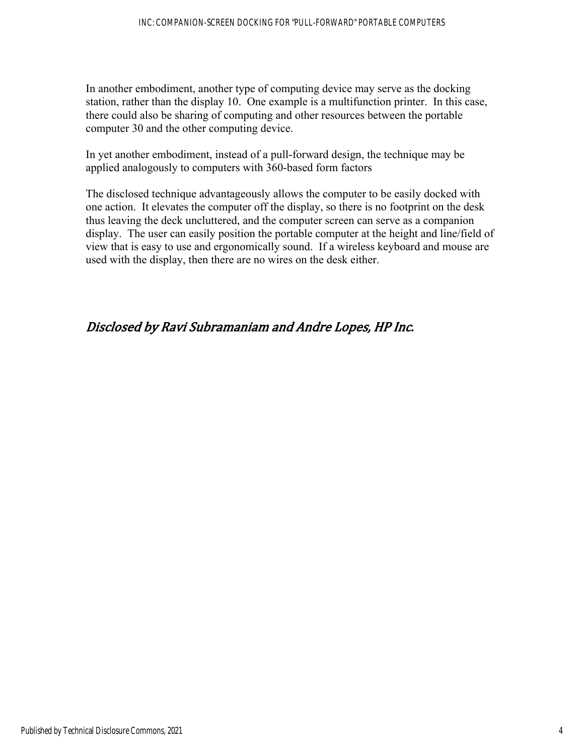In another embodiment, another type of computing device may serve as the docking station, rather than the display 10. One example is a multifunction printer. In this case, there could also be sharing of computing and other resources between the portable computer 30 and the other computing device.

In yet another embodiment, instead of a pull-forward design, the technique may be applied analogously to computers with 360-based form factors

The disclosed technique advantageously allows the computer to be easily docked with one action. It elevates the computer off the display, so there is no footprint on the desk thus leaving the deck uncluttered, and the computer screen can serve as a companion display. The user can easily position the portable computer at the height and line/field of view that is easy to use and ergonomically sound. If a wireless keyboard and mouse are used with the display, then there are no wires on the desk either.

## Disclosed by Ravi Subramaniam and Andre Lopes, HP Inc.